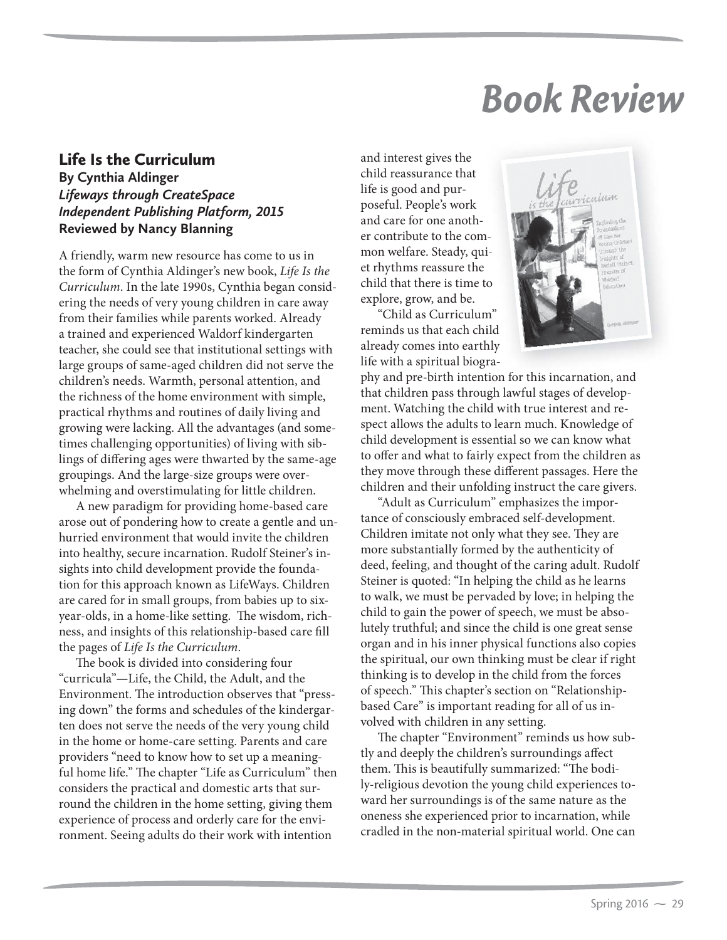## *Book Review*

## Life Is the Curriculum **By Cynthia Aldinger** *Lifeways through CreateSpace Independent Publishing Platform, 2015* **Reviewed by Nancy Blanning**

A friendly, warm new resource has come to us in the form of Cynthia Aldinger's new book, *Life Is the Curriculum*. In the late 1990s, Cynthia began considering the needs of very young children in care away from their families while parents worked. Already a trained and experienced Waldorf kindergarten teacher, she could see that institutional settings with large groups of same-aged children did not serve the children's needs. Warmth, personal attention, and the richness of the home environment with simple, practical rhythms and routines of daily living and growing were lacking. All the advantages (and sometimes challenging opportunities) of living with siblings of differing ages were thwarted by the same-age groupings. And the large-size groups were overwhelming and overstimulating for little children.

A new paradigm for providing home-based care arose out of pondering how to create a gentle and unhurried environment that would invite the children into healthy, secure incarnation. Rudolf Steiner's insights into child development provide the foundation for this approach known as LifeWays. Children are cared for in small groups, from babies up to sixyear-olds, in a home-like setting. The wisdom, richness, and insights of this relationship-based care fill the pages of *Life Is the Curriculum*.

The book is divided into considering four "curricula"—Life, the Child, the Adult, and the Environment. The introduction observes that "pressing down" the forms and schedules of the kindergarten does not serve the needs of the very young child in the home or home-care setting. Parents and care providers "need to know how to set up a meaningful home life." The chapter "Life as Curriculum" then considers the practical and domestic arts that surround the children in the home setting, giving them experience of process and orderly care for the environment. Seeing adults do their work with intention

and interest gives the child reassurance that life is good and purposeful. People's work and care for one another contribute to the com- mon welfare. Steady, quiet rhythms reassure the child that there is time to explore, grow, and be.

"Child as Curriculum" "Child as Curriculum"<br>reminds us that each child already comes into earthly life with a spiritual biogra-



phy and pre-birth intention for this incarnation, and that children pass through lawful stages of development. Watching the child with true interest and respect allows the adults to learn much. Knowledge of child development is essential so we can know what to offer and what to fairly expect from the children as they move through these different passages. Here the children and their unfolding instruct the care givers.

"Adult as Curriculum" emphasizes the importance of consciously embraced self-development. Children imitate not only what they see. They are more substantially formed by the authenticity of deed, feeling, and thought of the caring adult. Rudolf Steiner is quoted: "In helping the child as he learns to walk, we must be pervaded by love; in helping the child to gain the power of speech, we must be absolutely truthful; and since the child is one great sense organ and in his inner physical functions also copies the spiritual, our own thinking must be clear if right thinking is to develop in the child from the forces of speech." This chapter's section on "Relationshipbased Care" is important reading for all of us involved with children in any setting.

The chapter "Environment" reminds us how subtly and deeply the children's surroundings affect them. This is beautifully summarized: "The bodily-religious devotion the young child experiences toward her surroundings is of the same nature as the oneness she experienced prior to incarnation, while cradled in the non-material spiritual world. One can